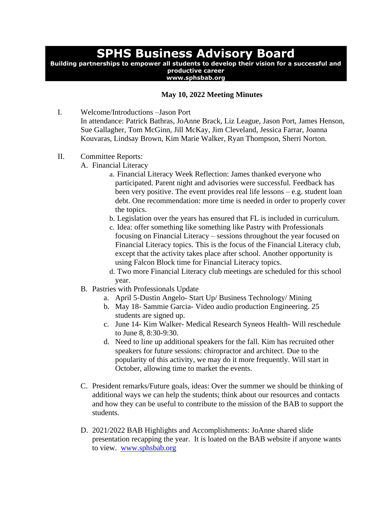# **SPHS Business Advisory Board**

**Building partnerships to empower all students to develop their vision for a successful and productive career www.sphsbab.org**

## **May 10, 2022 Meeting Minutes**

I. Welcome/Introductions –Jason Port

In attendance: Patrick Bathras, JoAnne Brack, Liz League, Jason Port, James Henson, Sue Gallagher, Tom McGinn, Jill McKay, Jim Cleveland, Jessica Farrar, Joanna Kouvaras, Lindsay Brown, Kim Marie Walker, Ryan Thompson, Sherri Norton.

- II. Committee Reports:
	- A. Financial Literacy
		- a. Financial Literacy Week Reflection: James thanked everyone who participated. Parent night and advisories were successful. Feedback has been very positive. The event provides real life lessons – e.g. student loan debt. One recommendation: more time is needed in order to properly cover the topics.
		- b. Legislation over the years has ensured that FL is included in curriculum.
		- c. Idea: offer something like something like Pastry with Professionals focusing on Financial Literacy – sessions throughout the year focused on Financial Literacy topics. This is the focus of the Financial Literacy club, except that the activity takes place after school. Another opportunity is using Falcon Block time for Financial Literacy topics.
		- d. Two more Financial Literacy club meetings are scheduled for this school year.
	- B. Pastries with Professionals Update
		- a. April 5-Dustin Angelo- Start Up/ Business Technology/ Mining
		- b. May 18- Sammie Garcia- Video audio production Engineering. 25 students are signed up.
		- c. June 14- Kim Walker- Medical Research Syneos Health- Will reschedule to June 8, 8:30-9:30.
		- d. Need to line up additional speakers for the fall. Kim has recruited other speakers for future sessions: chiropractor and architect. Due to the popularity of this activity, we may do it more frequently. Will start in October, allowing time to market the events.
	- C. President remarks/Future goals, ideas: Over the summer we should be thinking of additional ways we can help the students; think about our resources and contacts and how they can be useful to contribute to the mission of the BAB to support the students.
	- D. 2021/2022 BAB Highlights and Accomplishments: JoAnne shared slide presentation recapping the year. It is loated on the BAB website if anyone wants to view. [www.sphsbab.org](http://www.sphsbab.org/)